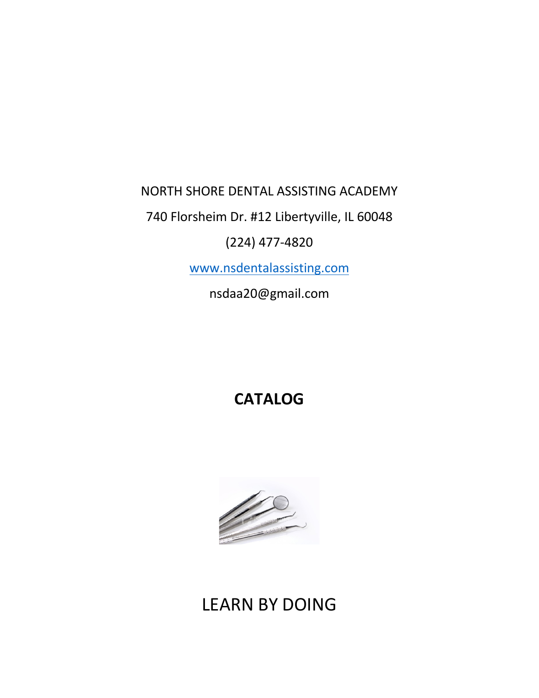## NORTH SHORE DENTAL ASSISTING ACADEMY

740 Florsheim Dr. #12 Libertyville, IL 60048

# (224) 477-4820

www.nsdentalassisting.com

nsdaa20@gmail.com

# **CATALOG**



# LEARN BY DOING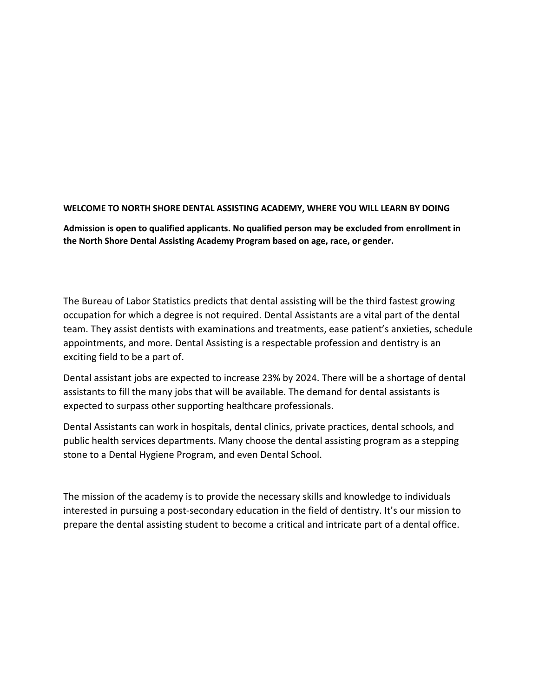#### **WELCOME TO NORTH SHORE DENTAL ASSISTING ACADEMY, WHERE YOU WILL LEARN BY DOING**

**Admission is open to qualified applicants. No qualified person may be excluded from enrollment in the North Shore Dental Assisting Academy Program based on age, race, or gender.**

The Bureau of Labor Statistics predicts that dental assisting will be the third fastest growing occupation for which a degree is not required. Dental Assistants are a vital part of the dental team. They assist dentists with examinations and treatments, ease patient's anxieties, schedule appointments, and more. Dental Assisting is a respectable profession and dentistry is an exciting field to be a part of.

Dental assistant jobs are expected to increase 23% by 2024. There will be a shortage of dental assistants to fill the many jobs that will be available. The demand for dental assistants is expected to surpass other supporting healthcare professionals.

Dental Assistants can work in hospitals, dental clinics, private practices, dental schools, and public health services departments. Many choose the dental assisting program as a stepping stone to a Dental Hygiene Program, and even Dental School.

The mission of the academy is to provide the necessary skills and knowledge to individuals interested in pursuing a post-secondary education in the field of dentistry. It's our mission to prepare the dental assisting student to become a critical and intricate part of a dental office.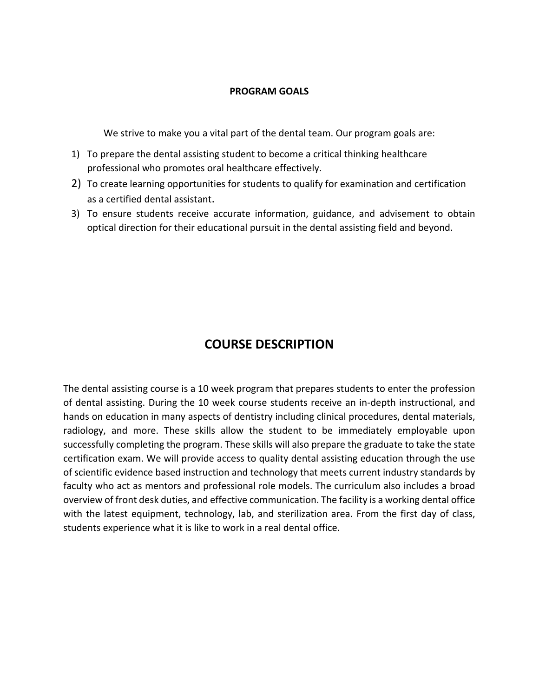#### **PROGRAM GOALS**

We strive to make you a vital part of the dental team. Our program goals are:

- 1) To prepare the dental assisting student to become a critical thinking healthcare professional who promotes oral healthcare effectively.
- 2) To create learning opportunities for students to qualify for examination and certification as a certified dental assistant.
- 3) To ensure students receive accurate information, guidance, and advisement to obtain optical direction for their educational pursuit in the dental assisting field and beyond.

## **COURSE DESCRIPTION**

The dental assisting course is a 10 week program that prepares students to enter the profession of dental assisting. During the 10 week course students receive an in-depth instructional, and hands on education in many aspects of dentistry including clinical procedures, dental materials, radiology, and more. These skills allow the student to be immediately employable upon successfully completing the program. These skills will also prepare the graduate to take the state certification exam. We will provide access to quality dental assisting education through the use of scientific evidence based instruction and technology that meets current industry standards by faculty who act as mentors and professional role models. The curriculum also includes a broad overview of front desk duties, and effective communication. The facility is a working dental office with the latest equipment, technology, lab, and sterilization area. From the first day of class, students experience what it is like to work in a real dental office.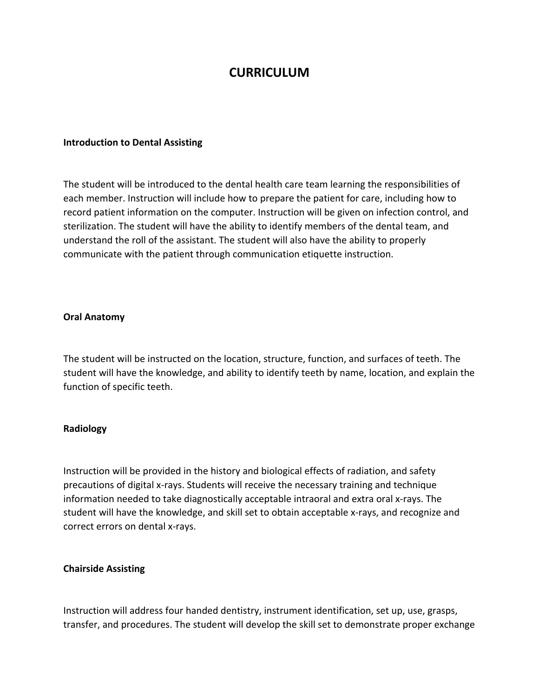## **CURRICULUM**

#### **Introduction to Dental Assisting**

The student will be introduced to the dental health care team learning the responsibilities of each member. Instruction will include how to prepare the patient for care, including how to record patient information on the computer. Instruction will be given on infection control, and sterilization. The student will have the ability to identify members of the dental team, and understand the roll of the assistant. The student will also have the ability to properly communicate with the patient through communication etiquette instruction.

#### **Oral Anatomy**

The student will be instructed on the location, structure, function, and surfaces of teeth. The student will have the knowledge, and ability to identify teeth by name, location, and explain the function of specific teeth.

#### **Radiology**

Instruction will be provided in the history and biological effects of radiation, and safety precautions of digital x-rays. Students will receive the necessary training and technique information needed to take diagnostically acceptable intraoral and extra oral x-rays. The student will have the knowledge, and skill set to obtain acceptable x-rays, and recognize and correct errors on dental x-rays.

#### **Chairside Assisting**

Instruction will address four handed dentistry, instrument identification, set up, use, grasps, transfer, and procedures. The student will develop the skill set to demonstrate proper exchange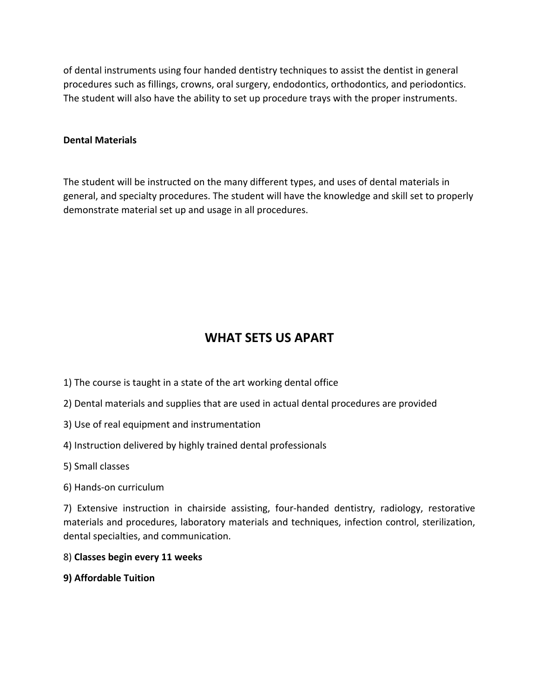of dental instruments using four handed dentistry techniques to assist the dentist in general procedures such as fillings, crowns, oral surgery, endodontics, orthodontics, and periodontics. The student will also have the ability to set up procedure trays with the proper instruments.

#### **Dental Materials**

The student will be instructed on the many different types, and uses of dental materials in general, and specialty procedures. The student will have the knowledge and skill set to properly demonstrate material set up and usage in all procedures.

## **WHAT SETS US APART**

- 1) The course is taught in a state of the art working dental office
- 2) Dental materials and supplies that are used in actual dental procedures are provided
- 3) Use of real equipment and instrumentation
- 4) Instruction delivered by highly trained dental professionals
- 5) Small classes
- 6) Hands-on curriculum

7) Extensive instruction in chairside assisting, four-handed dentistry, radiology, restorative materials and procedures, laboratory materials and techniques, infection control, sterilization, dental specialties, and communication.

- 8) **Classes begin every 11 weeks**
- **9) Affordable Tuition**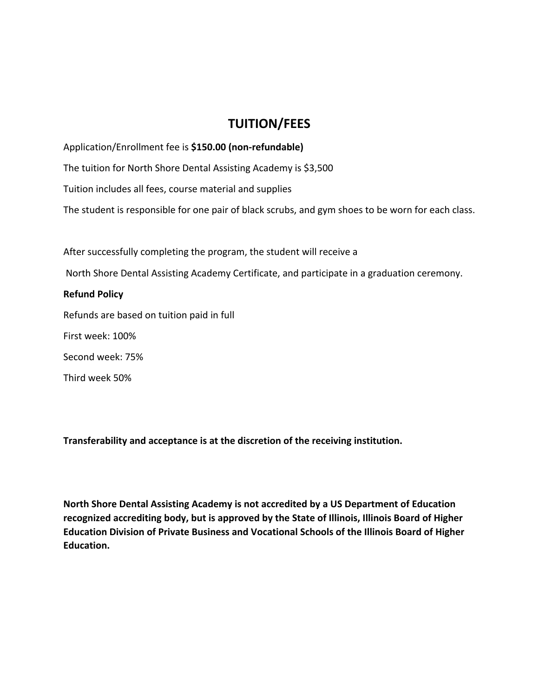## **TUITION/FEES**

Application/Enrollment fee is **\$150.00 (non-refundable)** The tuition for North Shore Dental Assisting Academy is \$3,500 Tuition includes all fees, course material and supplies The student is responsible for one pair of black scrubs, and gym shoes to be worn for each class.

After successfully completing the program, the student will receive a North Shore Dental Assisting Academy Certificate, and participate in a graduation ceremony. **Refund Policy** Refunds are based on tuition paid in full First week: 100% Second week: 75% Third week 50%

**Transferability and acceptance is at the discretion of the receiving institution.**

**North Shore Dental Assisting Academy is not accredited by a US Department of Education recognized accrediting body, but is approved by the State of Illinois, Illinois Board of Higher Education Division of Private Business and Vocational Schools of the Illinois Board of Higher Education.**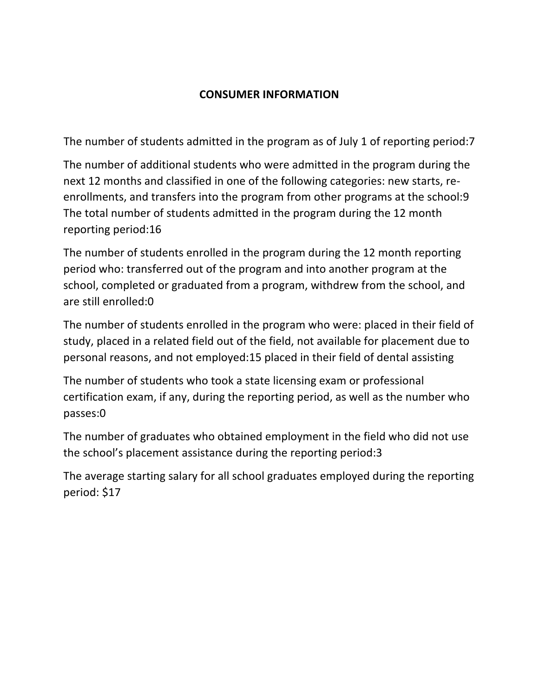## **CONSUMER INFORMATION**

The number of students admitted in the program as of July 1 of reporting period:7

The number of additional students who were admitted in the program during the next 12 months and classified in one of the following categories: new starts, reenrollments, and transfers into the program from other programs at the school:9 The total number of students admitted in the program during the 12 month reporting period:16

The number of students enrolled in the program during the 12 month reporting period who: transferred out of the program and into another program at the school, completed or graduated from a program, withdrew from the school, and are still enrolled:0

The number of students enrolled in the program who were: placed in their field of study, placed in a related field out of the field, not available for placement due to personal reasons, and not employed:15 placed in their field of dental assisting

The number of students who took a state licensing exam or professional certification exam, if any, during the reporting period, as well as the number who passes:0

The number of graduates who obtained employment in the field who did not use the school's placement assistance during the reporting period:3

The average starting salary for all school graduates employed during the reporting period: \$17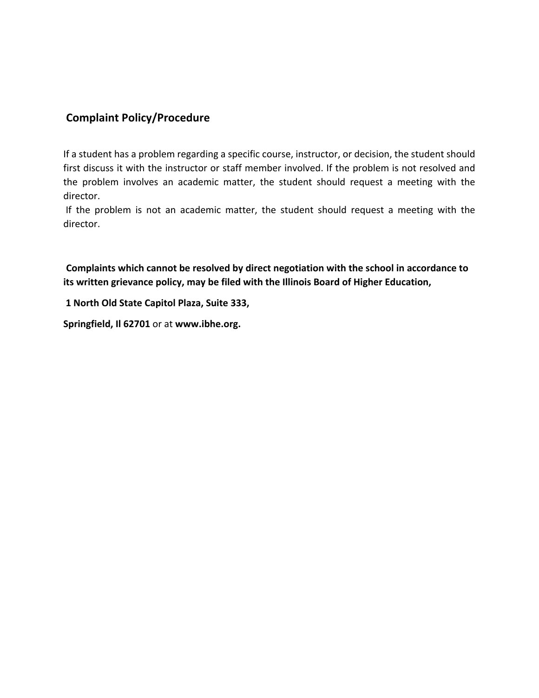### **Complaint Policy/Procedure**

If a student has a problem regarding a specific course, instructor, or decision, the student should first discuss it with the instructor or staff member involved. If the problem is not resolved and the problem involves an academic matter, the student should request a meeting with the director.

If the problem is not an academic matter, the student should request a meeting with the director.

**Complaints which cannot be resolved by direct negotiation with the school in accordance to its written grievance policy, may be filed with the Illinois Board of Higher Education,**

**1 North Old State Capitol Plaza, Suite 333,** 

**Springfield, Il 62701** or at **www.ibhe.org.**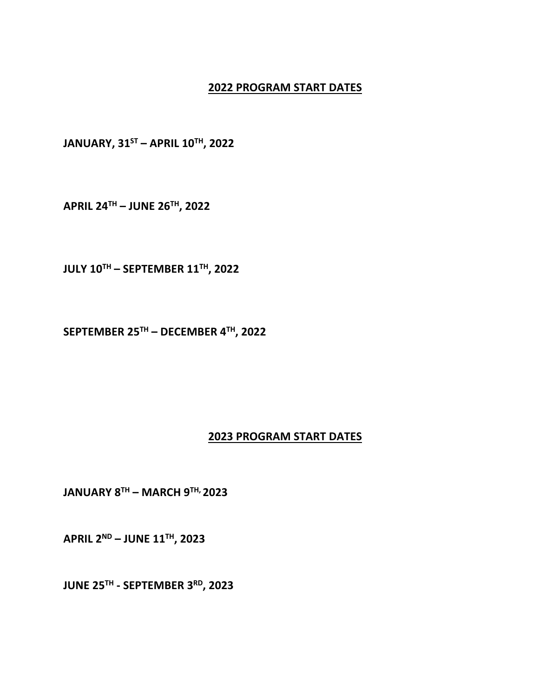#### **2022 PROGRAM START DATES**

**JANUARY, 31ST – APRIL 10TH, 2022**

**APRIL 24TH – JUNE 26TH, 2022**

**JULY 10TH – SEPTEMBER 11TH, 2022**

**SEPTEMBER 25TH – DECEMBER 4TH, 2022**

### **2023 PROGRAM START DATES**

**JANUARY 8TH – MARCH 9TH, 2023**

**APRIL 2ND – JUNE 11TH, 2023**

**JUNE 25TH - SEPTEMBER 3RD, 2023**